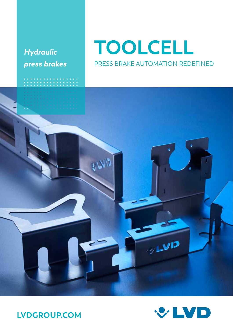# *Hydraulic press brakes*

ألاباد

# **TOOLCELL** PRESS BRAKE AUTOMATION REDEFINED





 $y$ LVIJ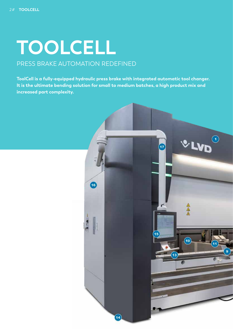# **TOOLCELL** PRESS BRAKE AUTOMATION REDEFINED

**ToolCell is a fully-equipped hydraulic press brake with integrated automatic tool changer. It is the ultimate bending solution for small to medium batches, a high product mix and increased part complexity.** 

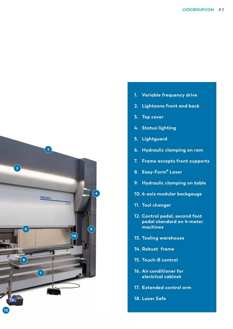

- **1. Variable frequency drive**
- **2. Lightzone front and back**
- **3. Top cover**
- **4. Status lighting**
- **5. Lightguard**
- **6. Hydraulic clamping on ram**
- **7. Frame accepts front supports**
- **8. Easy-Form® Laser**
- **9. Hydraulic clamping on table**
- **10. 6-axis modular backgauge**
- **11. Tool changer**
- **12. Control pedal, second foot pedal standard on 4-meter machines**
- **13. Tooling warehouse**
- **14. Robust frame**
- **15. Touch-B control**
- **16. Air conditioner for electrical cabinet**
- **17. Extended control arm**
- **18. Lazer Safe**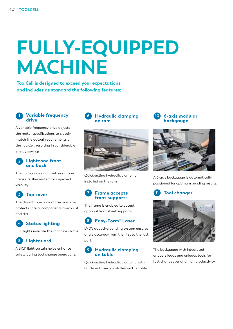# **FULLY-EQUIPPED MACHINE**

**ToolCell is designed to exceed your expectations and includes as standard the following features:**

#### **1 Variable frequency drive**

A variable frequency drive adjusts the motor specifications to closely match the output requirements of the ToolCell, resulting in considerable energy savings.

#### **2 Lightzone front and back**

The backgauge and front work zone areas are illuminated for improved visibility.

# **3 Top cover**

The closed upper side of the machine protects critical components from dust and dirt.

#### **4 Status lighting**

LED lights indicate the machine status.

# **5 Lightguard**

A SICK light curtain helps enhance safety during tool change operations.



**6 Hydraulic clamping** 

**on ram**

Quick-acting hydraulic clamping installed on the ram.

#### **7 Frame accepts front supports**

The frame is enabled to accept optional front sheet supports.

### **8 Easy-Form® Laser**

LVD's adaptive bending system ensures angle accuracy from the first to the last part.

#### **9 Hydraulic clamping on table**

Quick-acting hydraulic clamping with hardened inserts installed on the table.





A 6-axis backgauge is automatically positioned for optimum bending results.





The backgauge with integrated grippers loads and unloads tools for fast changeover and high productivity.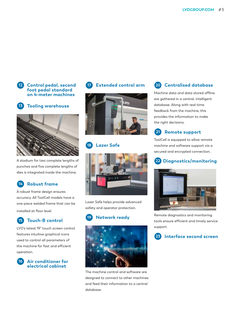



**13 Tooling warehouse**



A stadium for two complete lengths of punches and five complete lengths of dies is integrated inside the machine.

### **14 Robust frame**

A robust frame design ensures accuracy. All ToolCell models have a one-piece welded frame that can be installed at floor level.

#### **15 Touch-B control**

LVD's latest 19" touch screen control features intuitive graphical icons used to control all parameters of the machine for fast and efficient operation.







#### **18 Lazer Safe**



Lazer Safe helps provide advanced safety and operator protection.

# **19 Network ready**



The machine control and software are designed to connect to other machines and feed their information to a central database.

### **20 Centralised database**

Machine data and data stored offline are gathered in a central, intelligent database. Along with real-time feedback from the machine, this provides the information to make the right decisions.



ToolCell is equipped to allow remote machine and software support via a secured and encrypted connection.

### **22 Diagnostics/monitoring**



Remote diagnostics and monitoring tools ensure efficient and timely service support.

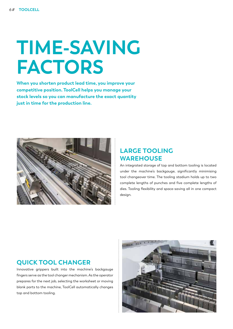# **TIME-SAVING FACTORS**

**When you shorten product lead time, you improve your competitive position. ToolCell helps you manage your stock levels so you can manufacture the exact quantity just in time for the production line.**



# **LARGE TOOLING WAREHOUSE**

An integrated storage of top and bottom tooling is located under the machine's backgauge, significantly minimising tool changeover time. The tooling stadium holds up to two complete lengths of punches and five complete lengths of dies. Tooling flexibility and space-saving all in one compact design.

#### **QUICK TOOL CHANGER**

Innovative grippers built into the machine's backgauge fingers serve as the tool changer mechanism. As the operator prepares for the next job, selecting the worksheet or moving blank parts to the machine, ToolCell automatically changes top and bottom tooling.

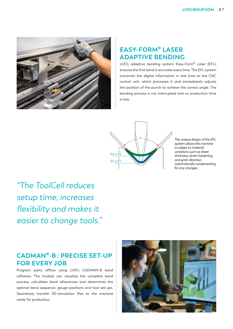

### **EASY-FORM® LASER ADAPTIVE BENDING**

LVD's adaptive bending system Easy-Form® Laser (EFL) ensures the first bend is accurate every time. The EFL system transmits the digital information in real time to the CNC control unit, which processes it and immediately adjusts the position of the punch to achieve the correct angle. The bending process is not interrupted and no production time is lost.



*The unique design of the EFL system allows the machine to adapt to material variations such as sheet thickness, strain hardening and grain direction, automatically compensating for any changes.*

*"The ToolCell reduces setup time, increases flexibility and makes it easier to change tools."*

# **CADMAN®-B : PRECISE SET-UP FOR EVERY JOB**

Program parts offline using LVD's CADMAN-B bend software. The module can visualise the complete bend process, calculates bend allowances and determines the optimal bend sequence, gauge positions and tool set-ups. Seamlessly transfer 3D-simulation files to the machine ready for production.

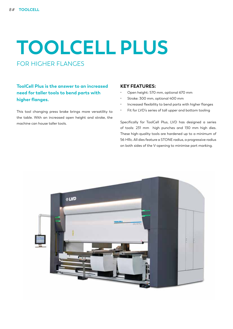# **TOOLCELL PLUS** FOR HIGHER FLANGES

**ToolCell Plus is the answer to an increased need for taller tools to bend parts with higher flanges.** 

This tool changing press brake brings more versatility to the table. With an increased open height and stroke, the machine can house taller tools.

#### **KEY FEATURES:**

- Open height: 570 mm, optional 670 mm
- Stroke: 300 mm, optional 400 mm
- Increased flexibility to bend parts with higher flanges
- Fit for LVD's series of tall upper and bottom tooling

Specifically for ToolCell Plus, LVD has designed a series of tools: 231 mm high punches and 130 mm high dies. These high-quality tools are hardened up to a minimum of 56 HRc. All dies feature a STONE radius, a progressive radius on both sides of the V-opening to minimise part marking.

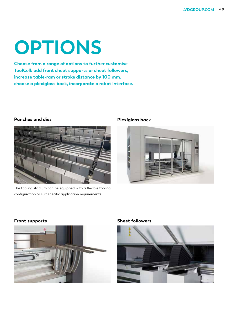# **OPTIONS**

**Choose from a range of options to further customise ToolCell: add front sheet supports or sheet followers, increase table-ram or stroke distance by 100 mm, choose a plexiglass back, incorporate a robot interface.**

#### **Punches and dies**



The tooling stadium can be equipped with a flexible tooling configuration to suit specific application requirements.

#### **Plexiglass back**



#### **Front supports Sheet followers**



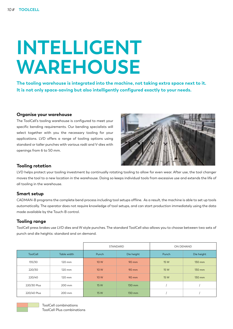# **INTELLIGENT WAREHOUSE**

**The tooling warehouse is integrated into the machine, not taking extra space next to it. It is not only space-saving but also intelligently configured exactly to your needs.**

#### **Organise your warehouse**

The ToolCell's tooling warehouse is configured to meet your specific bending requirements. Our bending specialists will select together with you the necessary tooling for your applications. LVD offers a range of tooling options using standard or taller punches with various radii and V-dies with openings from 6 to 50 mm.



#### **Tooling rotation**

LVD helps protect your tooling investment by continually rotating tooling to allow for even wear. After use, the tool changer moves the tool to a new location in the warehouse. Doing so keeps individual tools from excessive use and extends the life of all tooling in the warehouse.

#### **Smart setup**

CADMAN-B programs the complete bend process including tool setups offline. As a result, the machine is able to set up tools automatically. The operator does not require knowledge of tool setups, and can start production immediately using the data made available by the Touch-B control.

#### **Tooling range**

ToolCell press brakes use LVD dies and W style punches. The standard ToolCell also allows you to choose between two sets of punch and die heights: standard and on demand.

|                 |             |       | STANDARD   | ON DEMAND |            |  |
|-----------------|-------------|-------|------------|-----------|------------|--|
| <b>ToolCell</b> | Table width | Punch | Die height | Punch     | Die height |  |
| 135/30          | 120 mm      | 10 W  | 90 mm      | 15 W      | 130 mm     |  |
| 220/30          | 120 mm      | 10 W  | 90 mm      | 15 W      | 130 mm     |  |
| 220/40          | 120 mm      | 10 W  | 90 mm      | 15 W      | 130 mm     |  |
| 220/30 Plus     | 200 mm      | 15 W  | 130 mm     |           |            |  |
| 220/40 Plus     | 200 mm      | 15 W  | 130 mm     |           |            |  |

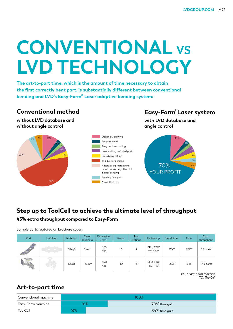# **CONVENTIONAL VS LVD TECHNOLOGY**

**The art-to-part time, which is the amount of time necessary to obtain the first correctly bent part, is substantially different between conventional bending and LVD's Easy-Form® Laser adaptive bending system:**

#### 45% 5% 4% 23% 10% 3% 2% 4% 4% **Conventional method without LVD database and without angle control** Design 3D drawing Program bend Program laser cutting Laser cutting unfolded part Press brake set-up Trial & error bending Adapt laser program and redo laser cutting after trial & error bending Bending final part Check final part YOUR PROFIT 70%

# **Easy-Form® Laser system**

10%

4% 3% 4% 4% 2% 3%

**with LVD database and angle control**

# **Step up to ToolCell to achieve the ultimate level of throughput 45% extra throughput compared to Easy-Form**

Sample parts featured on brochure cover:

| Part                     | Unfolded | Material           | Sheet<br>thickness | <b>Dimensions</b><br>(mm) | <b>Bends</b> | Tool<br>stations | Tool set-up             | Bend time | Gain  | Extra<br>throughput |
|--------------------------|----------|--------------------|--------------------|---------------------------|--------------|------------------|-------------------------|-----------|-------|---------------------|
| <b>STATE OF STRAIGHT</b> |          | AIM <sub>q</sub> 3 | 2 mm               | 663<br>221                | 13           |                  | EFL: 6'50"<br>TC: 2'48" | 2'40"     | 4'02" | 1.5 parts           |
|                          | 457      | DC01               | $1.5 \text{ mm}$   | 498<br>426                | 10           |                  | EFL: 5'30"<br>TC: 1'45" | 2'35"     | 3'45" | 1.45 parts          |

*EFL : Easy-Form machine TC : ToolCell*

# **Art-to-part time**

| Conventional machine | 100% |  |               |  |  |  |
|----------------------|------|--|---------------|--|--|--|
| Easy-Form machine    | 30%  |  | 70% time gain |  |  |  |
| ToolCell             | 16%  |  | 84% time gain |  |  |  |